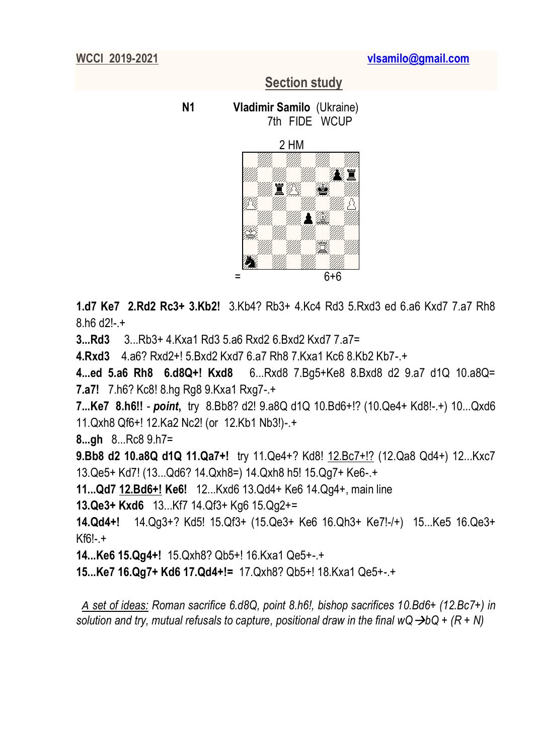## **Section study**

 **N1 Vladimir Samilo** (Ukraine) 7th FIDE WCUP



**1.d7 Ke7 2.Rd2 Rc3+ 3.Kb2!** 3.Kb4? Rb3+ 4.Kc4 Rd3 5.Rxd3 ed 6.a6 Kxd7 7.a7 Rh8 8.h6 d2!-.+

**3...Rd3** 3...Rb3+ 4.Kxa1 Rd3 5.a6 Rxd2 6.Bxd2 Kxd7 7.a7=

**4.Rxd3** 4.a6? Rxd2+! 5.Bxd2 Kxd7 6.a7 Rh8 7.Kxa1 Kc6 8.Kb2 Kb7-.+

**4...ed 5.a6 Rh8 6.d8Q+! Kxd8** 6...Rxd8 7.Bg5+Ke8 8.Bxd8 d2 9.a7 d1Q 10.a8Q= **7.a7!** 7.h6? Kc8! 8.hg Rg8 9.Kxa1 Rxg7-.+

**7...Ke7 8.h6!!** *- point***,** try 8.Bb8? d2! 9.a8Q d1Q 10.Bd6+!? (10.Qe4+ Kd8!-.+) 10...Qxd6 11.Qxh8 Qf6+! 12.Ka2 Nc2! (or 12.Kb1 Nb3!)-.+

**8...gh** 8...Rc8 9.h7=

**9.Bb8 d2 10.a8Q d1Q 11.Qa7+!** try 11.Qe4+? Kd8! 12.Bc7+!? (12.Qa8 Qd4+) 12...Kxc7 13.Qe5+ Kd7! (13...Qd6? 14.Qxh8=) 14.Qxh8 h5! 15.Qg7+ Ke6-.+

**11...Qd7 12.Bd6+! Ke6!** 12...Kxd6 13.Qd4+ Ke6 14.Qg4+, main line

**13.Qe3+ Kxd6** 13...Kf7 14.Qf3+ Kg6 15.Qg2+=

**14.Qd4+!** 14.Qg3+? Kd5! 15.Qf3+ (15.Qe3+ Ke6 16.Qh3+ Ke7!-/+) 15...Ke5 16.Qe3+  $Kf6! - +$ 

**14...Ke6 15.Qg4+!** 15.Qxh8? Qb5+! 16.Kxa1 Qe5+-.+

**15...Ke7 16.Qg7+ Kd6 17.Qd4+!=** 17.Qxh8? Qb5+! 18.Kxa1 Qe5+-.+

*A set of ideas: Roman sacrifice 6.d8Q, point 8.h6!, bishop sacrifices 10.Bd6+ (12.Bc7+) in solution and try, mutual refusals to capture, positional draw in the final wQ bQ + (R + N)*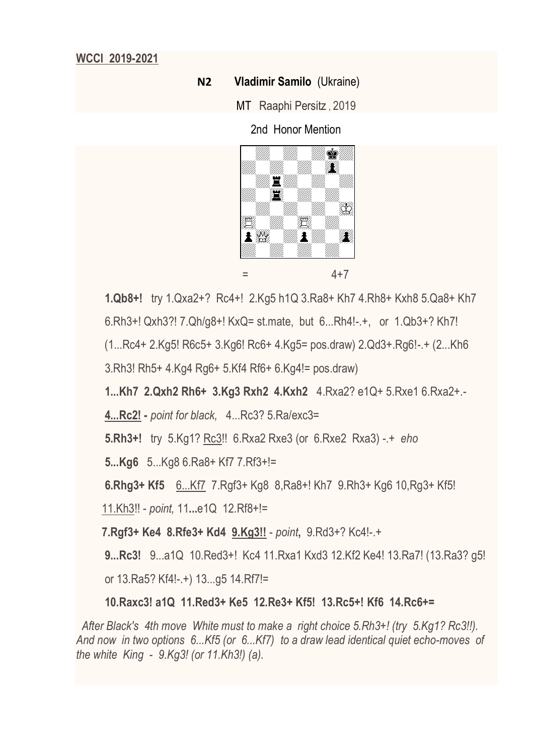### **N2 Vladimir Samilo** (Ukraine)

MT Raaphi Persitz , 2019

2nd Honor Mention



**1.Qb8+!** try 1.Qxa2+? Rc4+! 2.Kg5 h1Q 3.Ra8+ Kh7 4.Rh8+ Kxh8 5.Qa8+ Kh7

6.Rh3+! Qxh3?! 7.Qh/g8+! KxQ= st.mate, but 6...Rh4!-.+, or 1.Qb3+? Kh7!

(1...Rc4+ 2.Kg5! R6c5+ 3.Kg6! Rc6+ 4.Kg5= pos.draw) 2.Qd3+.Rg6!-.+ (2...Kh6

3.Rh3! Rh5+ 4.Kg4 Rg6+ 5.Kf4 Rf6+ 6.Kg4!= pos.draw)

**1...Kh7 2.Qxh2 Rh6+ 3.Kg3 Rxh2 4.Kxh2** 4.Rxa2? e1Q+ 5.Rxe1 6.Rxa2+.-

**4...Rc2! -** *point for black,*4...Rc3? 5.Ra/exc3=

**5.Rh3+!** try 5.Kg1? Rc3!! 6.Rxa2 Rxe3 (or 6.Rxe2 Rxa3) -.+ *eho*

**5...Kg6** 5...Kg8 6.Ra8+ Kf7 7.Rf3+!=

 **6.Rhg3+ Kf5** 6...Kf7 7.Rgf3+ Kg8 8,Ra8+! Kh7 9.Rh3+ Kg6 10,Rg3+ Kf5!

11.Kh3!! - *point,* 11**...**e1Q 12.Rf8+!=

 **7.Rgf3+ Ke4 8.Rfe3+ Kd4 9.Kg3!!** - *point***,** 9.Rd3+? Kc4!-.+

 **9...Rc3!** 9...a1Q 10.Red3+! Kc4 11.Rxa1 Kxd3 12.Kf2 Ke4! 13.Ra7! (13.Ra3? g5!

or 13.Ra5? Kf4!-.+) 13...g5 14.Rf7!=

## **10.Raxc3! a1Q 11.Red3+ Ke5 12.Re3+ Kf5! 13.Rc5+! Kf6 14.Rc6+=**

 *After Black's 4th move White must to make a right choice 5.Rh3+! (try 5.Kg1? Rc3!!). And now in two options 6...Kf5 (or 6...Kf7) to a draw lead identical quiet echo-moves of the white King - 9.Kg3! (or 11.Kh3!) (a).*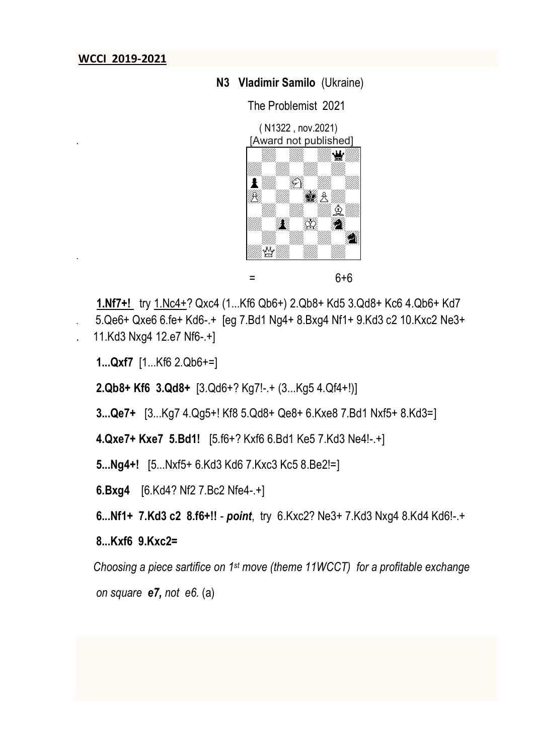.

### **N3 Vladimir Samilo** (Ukraine)

The Problemist 2021



 $=$  6+6

 **1.Nf7+!** try 1.Nc4+? Qxc4 (1...Kf6 Qb6+) 2.Qb8+ Kd5 3.Qd8+ Kc6 4.Qb6+ Kd7 . 5.Qe6+ Qxe6 6.fe+ Kd6-.+ [eg 7.Bd1 Ng4+ 8.Bxg4 Nf1+ 9.Kd3 c2 10.Kxc2 Ne3+ . 11.Kd3 Nxg4 12.e7 Nf6-.+]

**1...Qxf7** [1...Kf6 2.Qb6+=]

**2.Qb8+ Kf6 3.Qd8+** [3.Qd6+? Kg7!-.+ (3...Kg5 4.Qf4+!)]

**3...Qe7+** [3...Kg7 4.Qg5+! Kf8 5.Qd8+ Qe8+ 6.Kxe8 7.Bd1 Nxf5+ 8.Kd3=]

**4.Qxe7+ Kxe7 5.Bd1!** [5.f6+? Kxf6 6.Bd1 Ke5 7.Kd3 Ne4!-.+]

**5...Ng4+!** [5...Nxf5+ 6.Kd3 Kd6 7.Kxc3 Kc5 8.Be2!=]

**6.Bxg4** [6.Kd4? Nf2 7.Bc2 Nfe4-.+]

**6...Nf1+ 7.Kd3 c2 8.f6+!!** - *point*, try 6.Kxc2? Ne3+ 7.Kd3 Nxg4 8.Kd4 Kd6!-.+

### **8...Kxf6 9.Kxc2=**

*Choosing a piece sartifice on 1st move (theme 11WCCT) for a profitable exchange on square e7, not e6.* (a)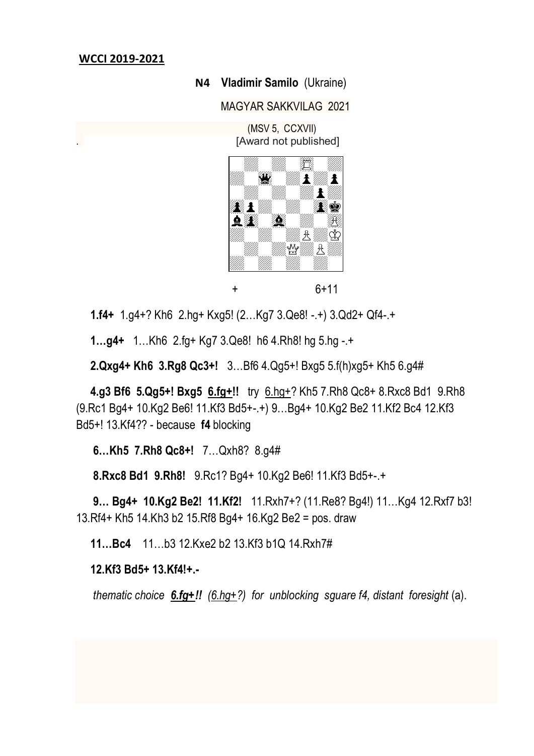#### **N4 Vladimir Samilo** (Ukraine)

MAGYAR SAKKVILAG 2021

 (MSV 5, CCXVII) . [Award not published]



+ 6+11

**1.f4+** 1.g4+? Kh6 2.hg+ Kxg5! (2…Kg7 3.Qe8! -.+) 3.Qd2+ Qf4-.+

 **1…g4+** 1…Kh6 2.fg+ Kg7 3.Qe8! h6 4.Rh8! hg 5.hg -.+

 **2.Qxg4+ Kh6 3.Rg8 Qc3+!** 3…Bf6 4.Qg5+! Bxg5 5.f(h)xg5+ Kh5 6.g4#

 **4.g3 Bf6 5.Qg5+! Bxg5 6.fg+!!** try 6.hg+? Kh5 7.Rh8 Qc8+ 8.Rxc8 Bd1 9.Rh8 (9.Rc1 Bg4+ 10.Kg2 Be6! 11.Kf3 Bd5+-.+) 9…Bg4+ 10.Kg2 Be2 11.Kf2 Bc4 12.Kf3 Bd5+! 13.Kf4?? - because **f4** blocking

 **6…Kh5 7.Rh8 Qc8+!** 7…Qxh8? 8.g4#

 **8.Rxc8 Bd1 9.Rh8!** 9.Rc1? Bg4+ 10.Kg2 Be6! 11.Kf3 Bd5+-.+

 **9… Bg4+ 10.Kg2 Be2! 11.Kf2!** 11.Rxh7+? (11.Re8? Bg4!) 11…Kg4 12.Rxf7 b3! 13.Rf4+ Kh5 14.Kh3 b2 15.Rf8 Bg4+ 16.Kg2 Be2 = pos. draw

**11…Bc4** 11…b3 12.Kxe2 b2 13.Kf3 b1Q 14.Rxh7#

 **12.Kf3 Bd5+ 13.Kf4!+.-**

*thematic choice 6.fg+!! (6.hg+?) for unblocking sguare f4, distant foresight* (a).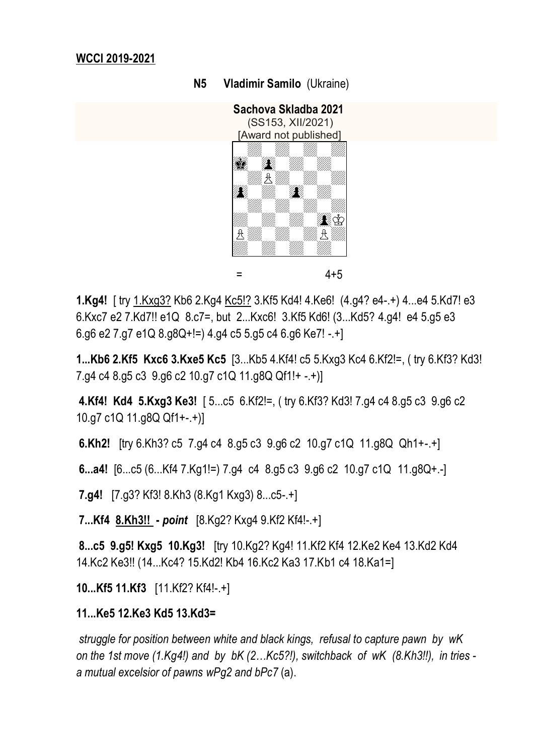**N5 Vladimir Samilo** (Ukraine)



 $=$  4+5

**1.Kg4!** [ try 1.Kxg3? Kb6 2.Kg4 Kc5!? 3.Kf5 Kd4! 4.Ke6! (4.g4? e4-.+) 4...e4 5.Kd7! e3 6.Kxc7 e2 7.Kd7!! e1Q 8.c7=, but 2...Kxc6! 3.Kf5 Kd6! (3...Kd5? 4.g4! e4 5.g5 e3 6.g6 e2 7.g7 e1Q 8.g8Q+!=) 4.g4 c5 5.g5 c4 6.g6 Ke7! -.+]

**1...Kb6 2.Kf5 Kxc6 3.Kxe5 Kc5** [3...Kb5 4.Kf4! c5 5.Kxg3 Kc4 6.Kf2!=, ( try 6.Kf3? Kd3! 7.g4 c4 8.g5 c3 9.g6 c2 10.g7 c1Q 11.g8Q Qf1!+ -.+)]

**4.Kf4! Kd4 5.Kxg3 Ke3!** [ 5...c5 6.Kf2!=, ( try 6.Kf3? Kd3! 7.g4 c4 8.g5 c3 9.g6 c2 10.g7 c1Q 11.g8Q Qf1+-.+)]

**6.Kh2!** [try 6.Kh3? c5 7.g4 c4 8.g5 c3 9.g6 c2 10.g7 c1Q 11.g8Q Qh1+-.+]

**6...a4!** [6...c5 (6...Kf4 7.Kg1!=) 7.g4 c4 8.g5 c3 9.g6 c2 10.g7 c1Q 11.g8Q+.-]

**7.g4!** [7.g3? Kf3! 8.Kh3 (8.Kg1 Kxg3) 8...c5-.+]

**7...Kf4 8.Kh3!! -** *point* [8.Kg2? Kxg4 9.Kf2 Kf4!-.+]

**8...c5 9.g5! Kxg5 10.Kg3!** [try 10.Kg2? Kg4! 11.Kf2 Kf4 12.Ke2 Ke4 13.Kd2 Kd4 14.Kc2 Ke3!! (14...Kc4? 15.Kd2! Kb4 16.Kc2 Ka3 17.Kb1 c4 18.Ka1=]

**10...Kf5 11.Kf3** [11.Kf2? Kf4!-.+]

# **11...Ke5 12.Ke3 Kd5 13.Kd3=**

*struggle for position between white and black kings, refusal to capture pawn by wK on the 1st move (1.Kg4!) and by bK (2…Kc5?!), switchback of wK (8.Kh3!!), in tries a mutual excelsior of pawns wPg2 and bPc7* (a).